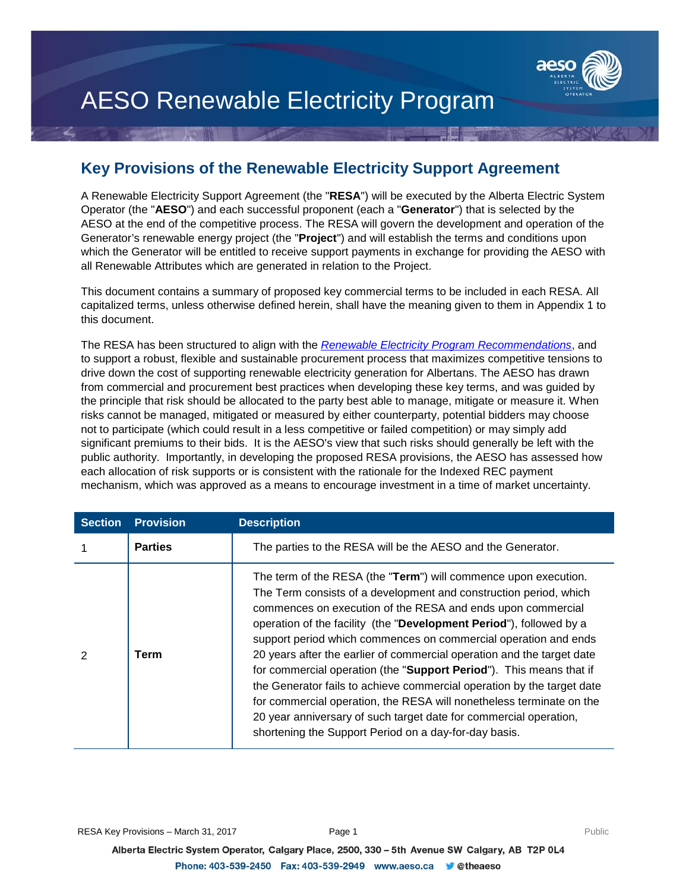

# AESO Renewable Electricity Program

#### **Key Provisions of the Renewable Electricity Support Agreement**

A Renewable Electricity Support Agreement (the "**RESA**") will be executed by the Alberta Electric System Operator (the "**AESO**") and each successful proponent (each a "**Generator**") that is selected by the AESO at the end of the competitive process. The RESA will govern the development and operation of the Generator's renewable energy project (the "**Project**") and will establish the terms and conditions upon which the Generator will be entitled to receive support payments in exchange for providing the AESO with all Renewable Attributes which are generated in relation to the Project.

This document contains a summary of proposed key commercial terms to be included in each RESA. All capitalized terms, unless otherwise defined herein, shall have the meaning given to them in Appendix 1 to this document.

The RESA has been structured to align with the *[Renewable Electricity Program Recommendations](https://www.aeso.ca/assets/Uploads/AESO-RenewableElectricityProgramRecommendations-Report.pdf)*, and to support a robust, flexible and sustainable procurement process that maximizes competitive tensions to drive down the cost of supporting renewable electricity generation for Albertans. The AESO has drawn from commercial and procurement best practices when developing these key terms, and was guided by the principle that risk should be allocated to the party best able to manage, mitigate or measure it. When risks cannot be managed, mitigated or measured by either counterparty, potential bidders may choose not to participate (which could result in a less competitive or failed competition) or may simply add significant premiums to their bids. It is the AESO's view that such risks should generally be left with the public authority. Importantly, in developing the proposed RESA provisions, the AESO has assessed how each allocation of risk supports or is consistent with the rationale for the Indexed REC payment mechanism, which was approved as a means to encourage investment in a time of market uncertainty.

| <b>Section</b> | <b>Provision</b> | <b>Description</b>                                                                                                                                                                                                                                                                                                                                                                                                                                                                                                                                                                                                                                                                                                                                                             |
|----------------|------------------|--------------------------------------------------------------------------------------------------------------------------------------------------------------------------------------------------------------------------------------------------------------------------------------------------------------------------------------------------------------------------------------------------------------------------------------------------------------------------------------------------------------------------------------------------------------------------------------------------------------------------------------------------------------------------------------------------------------------------------------------------------------------------------|
|                | <b>Parties</b>   | The parties to the RESA will be the AESO and the Generator.                                                                                                                                                                                                                                                                                                                                                                                                                                                                                                                                                                                                                                                                                                                    |
| 2              | Term             | The term of the RESA (the "Term") will commence upon execution.<br>The Term consists of a development and construction period, which<br>commences on execution of the RESA and ends upon commercial<br>operation of the facility (the "Development Period"), followed by a<br>support period which commences on commercial operation and ends<br>20 years after the earlier of commercial operation and the target date<br>for commercial operation (the "Support Period"). This means that if<br>the Generator fails to achieve commercial operation by the target date<br>for commercial operation, the RESA will nonetheless terminate on the<br>20 year anniversary of such target date for commercial operation,<br>shortening the Support Period on a day-for-day basis. |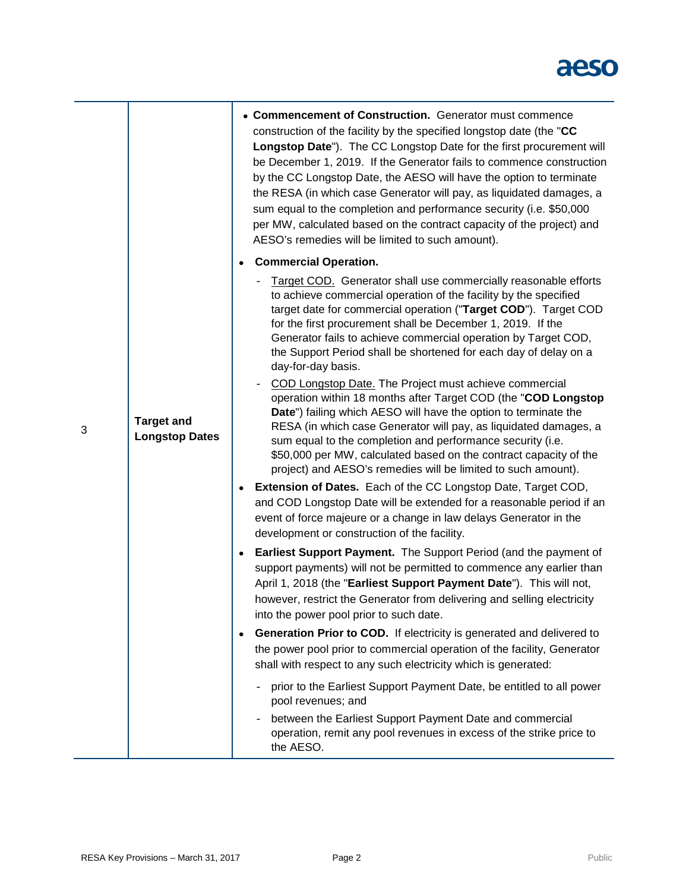|   |                                            |           | • Commencement of Construction. Generator must commence<br>construction of the facility by the specified longstop date (the "CC<br>Longstop Date"). The CC Longstop Date for the first procurement will<br>be December 1, 2019. If the Generator fails to commence construction<br>by the CC Longstop Date, the AESO will have the option to terminate<br>the RESA (in which case Generator will pay, as liquidated damages, a<br>sum equal to the completion and performance security (i.e. \$50,000<br>per MW, calculated based on the contract capacity of the project) and<br>AESO's remedies will be limited to such amount). |
|---|--------------------------------------------|-----------|------------------------------------------------------------------------------------------------------------------------------------------------------------------------------------------------------------------------------------------------------------------------------------------------------------------------------------------------------------------------------------------------------------------------------------------------------------------------------------------------------------------------------------------------------------------------------------------------------------------------------------|
|   |                                            | $\bullet$ | <b>Commercial Operation.</b>                                                                                                                                                                                                                                                                                                                                                                                                                                                                                                                                                                                                       |
|   |                                            |           | Target COD. Generator shall use commercially reasonable efforts<br>to achieve commercial operation of the facility by the specified<br>target date for commercial operation ("Target COD"). Target COD<br>for the first procurement shall be December 1, 2019. If the<br>Generator fails to achieve commercial operation by Target COD,<br>the Support Period shall be shortened for each day of delay on a<br>day-for-day basis.                                                                                                                                                                                                  |
| 3 | <b>Target and</b><br><b>Longstop Dates</b> |           | COD Longstop Date. The Project must achieve commercial<br>operation within 18 months after Target COD (the "COD Longstop<br>Date") failing which AESO will have the option to terminate the<br>RESA (in which case Generator will pay, as liquidated damages, a<br>sum equal to the completion and performance security (i.e.<br>\$50,000 per MW, calculated based on the contract capacity of the<br>project) and AESO's remedies will be limited to such amount).                                                                                                                                                                |
|   |                                            |           | Extension of Dates. Each of the CC Longstop Date, Target COD,<br>and COD Longstop Date will be extended for a reasonable period if an<br>event of force majeure or a change in law delays Generator in the<br>development or construction of the facility.                                                                                                                                                                                                                                                                                                                                                                         |
|   |                                            | $\bullet$ | <b>Earliest Support Payment.</b> The Support Period (and the payment of<br>support payments) will not be permitted to commence any earlier than<br>April 1, 2018 (the "Earliest Support Payment Date"). This will not,<br>however, restrict the Generator from delivering and selling electricity<br>into the power pool prior to such date.                                                                                                                                                                                                                                                                                       |
|   |                                            | ٠         | <b>Generation Prior to COD.</b> If electricity is generated and delivered to<br>the power pool prior to commercial operation of the facility, Generator<br>shall with respect to any such electricity which is generated:                                                                                                                                                                                                                                                                                                                                                                                                          |
|   |                                            |           | prior to the Earliest Support Payment Date, be entitled to all power<br>pool revenues; and                                                                                                                                                                                                                                                                                                                                                                                                                                                                                                                                         |
|   |                                            |           | between the Earliest Support Payment Date and commercial<br>operation, remit any pool revenues in excess of the strike price to<br>the AESO.                                                                                                                                                                                                                                                                                                                                                                                                                                                                                       |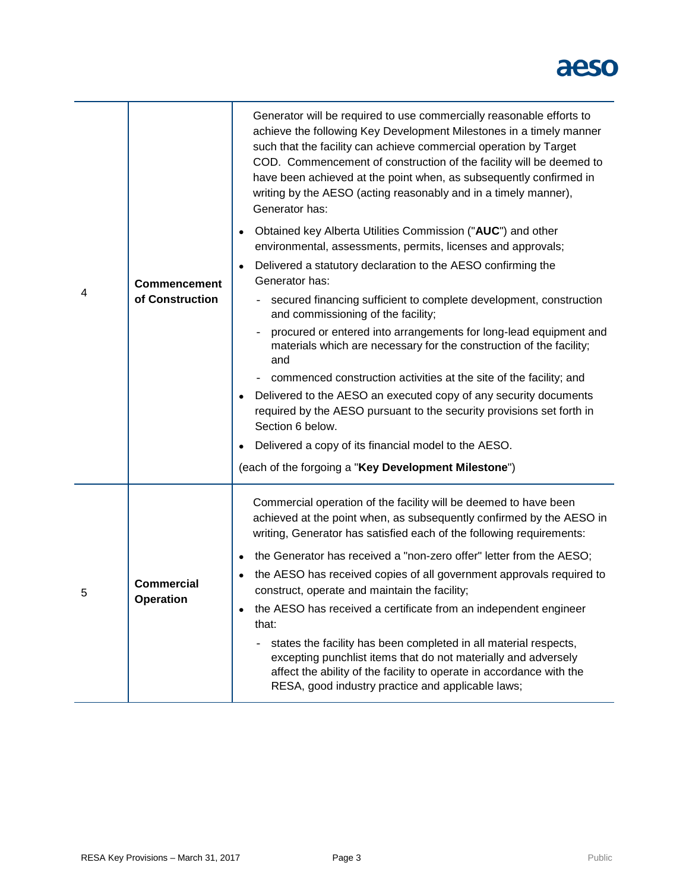|   |                                        | Generator will be required to use commercially reasonable efforts to<br>achieve the following Key Development Milestones in a timely manner<br>such that the facility can achieve commercial operation by Target<br>COD. Commencement of construction of the facility will be deemed to<br>have been achieved at the point when, as subsequently confirmed in<br>writing by the AESO (acting reasonably and in a timely manner),<br>Generator has: |
|---|----------------------------------------|----------------------------------------------------------------------------------------------------------------------------------------------------------------------------------------------------------------------------------------------------------------------------------------------------------------------------------------------------------------------------------------------------------------------------------------------------|
|   |                                        | Obtained key Alberta Utilities Commission ("AUC") and other<br>environmental, assessments, permits, licenses and approvals;                                                                                                                                                                                                                                                                                                                        |
|   | <b>Commencement</b><br>of Construction | Delivered a statutory declaration to the AESO confirming the<br>Generator has:                                                                                                                                                                                                                                                                                                                                                                     |
| 4 |                                        | secured financing sufficient to complete development, construction<br>and commissioning of the facility;                                                                                                                                                                                                                                                                                                                                           |
|   |                                        | procured or entered into arrangements for long-lead equipment and<br>materials which are necessary for the construction of the facility;<br>and                                                                                                                                                                                                                                                                                                    |
|   |                                        | commenced construction activities at the site of the facility; and                                                                                                                                                                                                                                                                                                                                                                                 |
|   |                                        | Delivered to the AESO an executed copy of any security documents<br>required by the AESO pursuant to the security provisions set forth in<br>Section 6 below.                                                                                                                                                                                                                                                                                      |
|   |                                        | Delivered a copy of its financial model to the AESO.                                                                                                                                                                                                                                                                                                                                                                                               |
|   |                                        | (each of the forgoing a "Key Development Milestone")                                                                                                                                                                                                                                                                                                                                                                                               |
|   |                                        | Commercial operation of the facility will be deemed to have been<br>achieved at the point when, as subsequently confirmed by the AESO in<br>writing, Generator has satisfied each of the following requirements:                                                                                                                                                                                                                                   |
|   |                                        | the Generator has received a "non-zero offer" letter from the AESO;                                                                                                                                                                                                                                                                                                                                                                                |
| 5 | <b>Commercial</b>                      | the AESO has received copies of all government approvals required to<br>construct, operate and maintain the facility;                                                                                                                                                                                                                                                                                                                              |
|   | <b>Operation</b>                       | the AESO has received a certificate from an independent engineer<br>that:                                                                                                                                                                                                                                                                                                                                                                          |
|   |                                        | states the facility has been completed in all material respects,<br>excepting punchlist items that do not materially and adversely<br>affect the ability of the facility to operate in accordance with the<br>RESA, good industry practice and applicable laws;                                                                                                                                                                                    |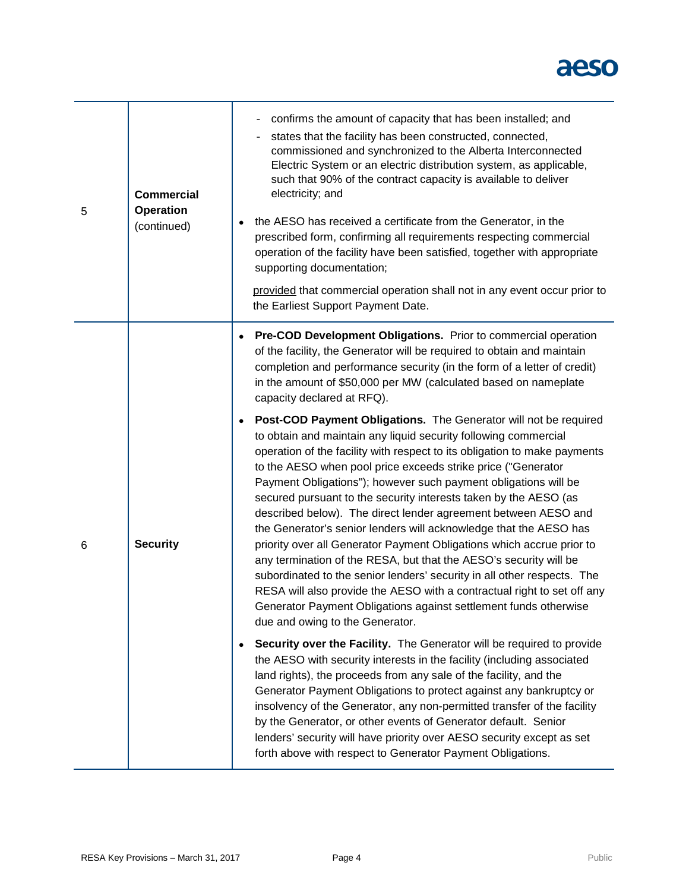| 5 | <b>Commercial</b><br><b>Operation</b><br>(continued) | confirms the amount of capacity that has been installed; and<br>$\overline{\phantom{a}}$<br>states that the facility has been constructed, connected,<br>commissioned and synchronized to the Alberta Interconnected<br>Electric System or an electric distribution system, as applicable,<br>such that 90% of the contract capacity is available to deliver<br>electricity; and<br>the AESO has received a certificate from the Generator, in the<br>prescribed form, confirming all requirements respecting commercial<br>operation of the facility have been satisfied, together with appropriate<br>supporting documentation;<br>provided that commercial operation shall not in any event occur prior to<br>the Earliest Support Payment Date.    |
|---|------------------------------------------------------|--------------------------------------------------------------------------------------------------------------------------------------------------------------------------------------------------------------------------------------------------------------------------------------------------------------------------------------------------------------------------------------------------------------------------------------------------------------------------------------------------------------------------------------------------------------------------------------------------------------------------------------------------------------------------------------------------------------------------------------------------------|
|   |                                                      | <b>Pre-COD Development Obligations.</b> Prior to commercial operation<br>of the facility, the Generator will be required to obtain and maintain<br>completion and performance security (in the form of a letter of credit)<br>in the amount of \$50,000 per MW (calculated based on nameplate<br>capacity declared at RFQ).<br>Post-COD Payment Obligations. The Generator will not be required<br>to obtain and maintain any liquid security following commercial<br>operation of the facility with respect to its obligation to make payments<br>to the AESO when pool price exceeds strike price ("Generator<br>Payment Obligations"); however such payment obligations will be<br>secured pursuant to the security interests taken by the AESO (as |
| 6 | <b>Security</b>                                      | described below). The direct lender agreement between AESO and<br>the Generator's senior lenders will acknowledge that the AESO has<br>priority over all Generator Payment Obligations which accrue prior to<br>any termination of the RESA, but that the AESO's security will be<br>subordinated to the senior lenders' security in all other respects. The<br>RESA will also provide the AESO with a contractual right to set off any<br>Generator Payment Obligations against settlement funds otherwise<br>due and owing to the Generator.                                                                                                                                                                                                         |
|   |                                                      | Security over the Facility. The Generator will be required to provide<br>the AESO with security interests in the facility (including associated<br>land rights), the proceeds from any sale of the facility, and the<br>Generator Payment Obligations to protect against any bankruptcy or<br>insolvency of the Generator, any non-permitted transfer of the facility<br>by the Generator, or other events of Generator default. Senior<br>lenders' security will have priority over AESO security except as set<br>forth above with respect to Generator Payment Obligations.                                                                                                                                                                         |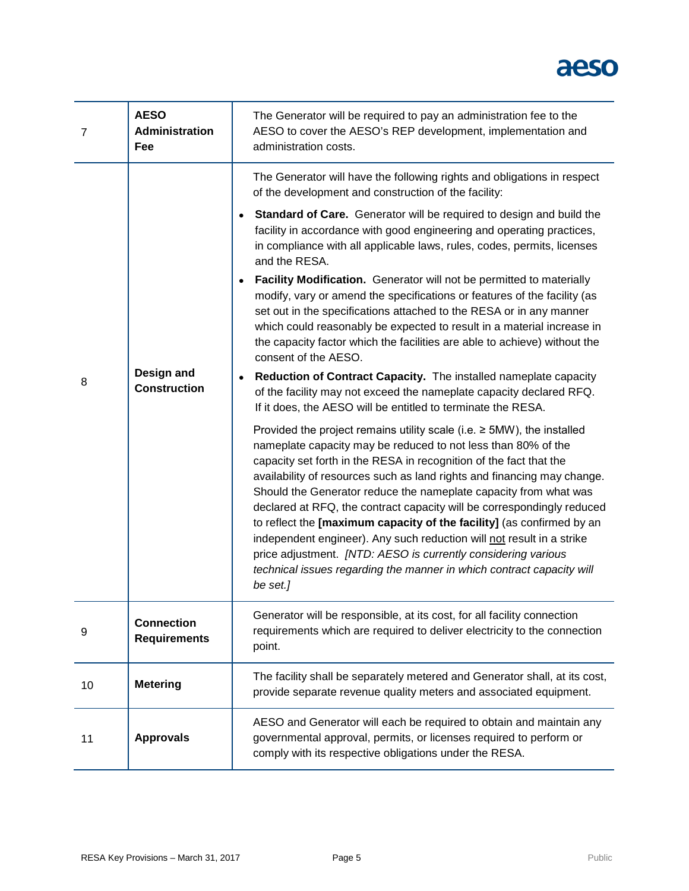| $\overline{7}$ | <b>AESO</b><br><b>Administration</b><br>Fee | The Generator will be required to pay an administration fee to the<br>AESO to cover the AESO's REP development, implementation and<br>administration costs.                                                                                                                                                                                                                                                                                                                                                                                                                                                                                                                                                                                                                                                                                                                                                                                                                                                                                                                                                                                                                                                                                                                                                                                                                                                                                                                                                                                                                                                                                                                                                                                              |
|----------------|---------------------------------------------|----------------------------------------------------------------------------------------------------------------------------------------------------------------------------------------------------------------------------------------------------------------------------------------------------------------------------------------------------------------------------------------------------------------------------------------------------------------------------------------------------------------------------------------------------------------------------------------------------------------------------------------------------------------------------------------------------------------------------------------------------------------------------------------------------------------------------------------------------------------------------------------------------------------------------------------------------------------------------------------------------------------------------------------------------------------------------------------------------------------------------------------------------------------------------------------------------------------------------------------------------------------------------------------------------------------------------------------------------------------------------------------------------------------------------------------------------------------------------------------------------------------------------------------------------------------------------------------------------------------------------------------------------------------------------------------------------------------------------------------------------------|
| 8              | Design and<br><b>Construction</b>           | The Generator will have the following rights and obligations in respect<br>of the development and construction of the facility:<br>Standard of Care. Generator will be required to design and build the<br>facility in accordance with good engineering and operating practices,<br>in compliance with all applicable laws, rules, codes, permits, licenses<br>and the RESA.<br>Facility Modification. Generator will not be permitted to materially<br>modify, vary or amend the specifications or features of the facility (as<br>set out in the specifications attached to the RESA or in any manner<br>which could reasonably be expected to result in a material increase in<br>the capacity factor which the facilities are able to achieve) without the<br>consent of the AESO.<br>Reduction of Contract Capacity. The installed nameplate capacity<br>of the facility may not exceed the nameplate capacity declared RFQ.<br>If it does, the AESO will be entitled to terminate the RESA.<br>Provided the project remains utility scale (i.e. $\geq$ 5MW), the installed<br>nameplate capacity may be reduced to not less than 80% of the<br>capacity set forth in the RESA in recognition of the fact that the<br>availability of resources such as land rights and financing may change.<br>Should the Generator reduce the nameplate capacity from what was<br>declared at RFQ, the contract capacity will be correspondingly reduced<br>to reflect the [maximum capacity of the facility] (as confirmed by an<br>independent engineer). Any such reduction will not result in a strike<br>price adjustment. [NTD: AESO is currently considering various<br>technical issues regarding the manner in which contract capacity will<br>be set.] |
| 9              | <b>Connection</b><br><b>Requirements</b>    | Generator will be responsible, at its cost, for all facility connection<br>requirements which are required to deliver electricity to the connection<br>point.                                                                                                                                                                                                                                                                                                                                                                                                                                                                                                                                                                                                                                                                                                                                                                                                                                                                                                                                                                                                                                                                                                                                                                                                                                                                                                                                                                                                                                                                                                                                                                                            |
| 10             | <b>Metering</b>                             | The facility shall be separately metered and Generator shall, at its cost,<br>provide separate revenue quality meters and associated equipment.                                                                                                                                                                                                                                                                                                                                                                                                                                                                                                                                                                                                                                                                                                                                                                                                                                                                                                                                                                                                                                                                                                                                                                                                                                                                                                                                                                                                                                                                                                                                                                                                          |
| 11             | <b>Approvals</b>                            | AESO and Generator will each be required to obtain and maintain any<br>governmental approval, permits, or licenses required to perform or<br>comply with its respective obligations under the RESA.                                                                                                                                                                                                                                                                                                                                                                                                                                                                                                                                                                                                                                                                                                                                                                                                                                                                                                                                                                                                                                                                                                                                                                                                                                                                                                                                                                                                                                                                                                                                                      |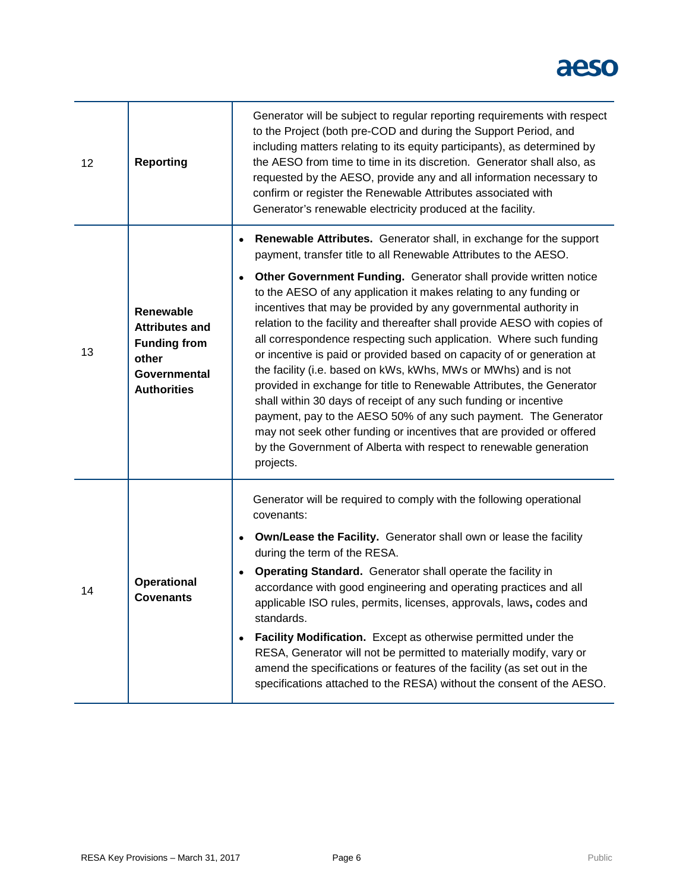| 12 | <b>Reporting</b>                                                                                                | Generator will be subject to regular reporting requirements with respect<br>to the Project (both pre-COD and during the Support Period, and<br>including matters relating to its equity participants), as determined by<br>the AESO from time to time in its discretion. Generator shall also, as<br>requested by the AESO, provide any and all information necessary to<br>confirm or register the Renewable Attributes associated with<br>Generator's renewable electricity produced at the facility.                                                                                                                                                                                                                                                                                                                                                                              |
|----|-----------------------------------------------------------------------------------------------------------------|--------------------------------------------------------------------------------------------------------------------------------------------------------------------------------------------------------------------------------------------------------------------------------------------------------------------------------------------------------------------------------------------------------------------------------------------------------------------------------------------------------------------------------------------------------------------------------------------------------------------------------------------------------------------------------------------------------------------------------------------------------------------------------------------------------------------------------------------------------------------------------------|
|    |                                                                                                                 | Renewable Attributes. Generator shall, in exchange for the support<br>payment, transfer title to all Renewable Attributes to the AESO.                                                                                                                                                                                                                                                                                                                                                                                                                                                                                                                                                                                                                                                                                                                                               |
| 13 | Renewable<br><b>Attributes and</b><br><b>Funding from</b><br>other<br><b>Governmental</b><br><b>Authorities</b> | Other Government Funding. Generator shall provide written notice<br>to the AESO of any application it makes relating to any funding or<br>incentives that may be provided by any governmental authority in<br>relation to the facility and thereafter shall provide AESO with copies of<br>all correspondence respecting such application. Where such funding<br>or incentive is paid or provided based on capacity of or generation at<br>the facility (i.e. based on kWs, kWhs, MWs or MWhs) and is not<br>provided in exchange for title to Renewable Attributes, the Generator<br>shall within 30 days of receipt of any such funding or incentive<br>payment, pay to the AESO 50% of any such payment. The Generator<br>may not seek other funding or incentives that are provided or offered<br>by the Government of Alberta with respect to renewable generation<br>projects. |
|    | <b>Operational</b><br><b>Covenants</b>                                                                          | Generator will be required to comply with the following operational<br>covenants:                                                                                                                                                                                                                                                                                                                                                                                                                                                                                                                                                                                                                                                                                                                                                                                                    |
|    |                                                                                                                 | Own/Lease the Facility. Generator shall own or lease the facility<br>during the term of the RESA.                                                                                                                                                                                                                                                                                                                                                                                                                                                                                                                                                                                                                                                                                                                                                                                    |
| 14 |                                                                                                                 | Operating Standard. Generator shall operate the facility in<br>accordance with good engineering and operating practices and all<br>applicable ISO rules, permits, licenses, approvals, laws, codes and<br>standards.                                                                                                                                                                                                                                                                                                                                                                                                                                                                                                                                                                                                                                                                 |
|    |                                                                                                                 | Facility Modification. Except as otherwise permitted under the<br>RESA, Generator will not be permitted to materially modify, vary or<br>amend the specifications or features of the facility (as set out in the<br>specifications attached to the RESA) without the consent of the AESO.                                                                                                                                                                                                                                                                                                                                                                                                                                                                                                                                                                                            |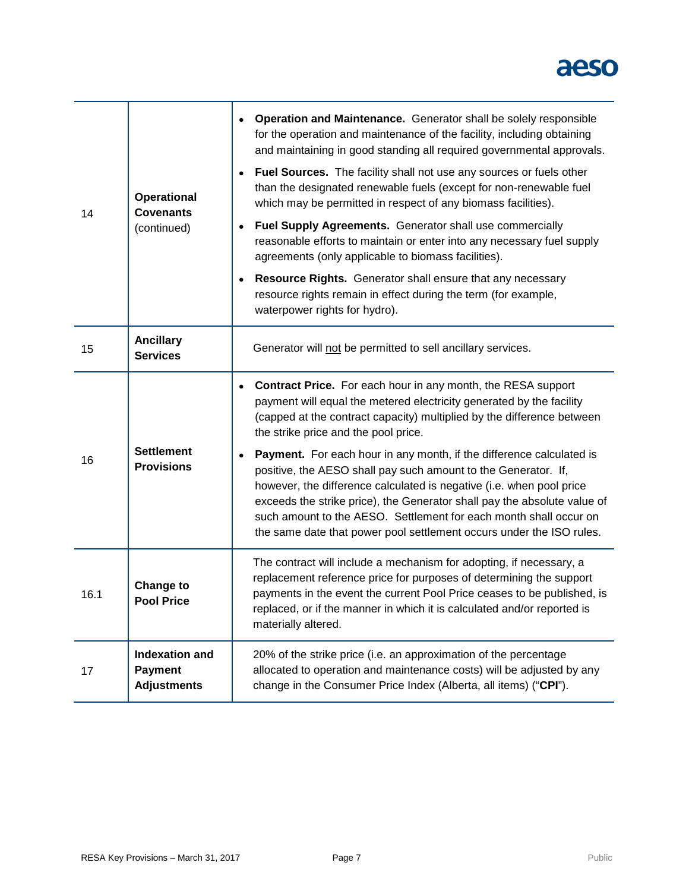|      | <b>Operational</b><br><b>Covenants</b><br>(continued)         | Operation and Maintenance. Generator shall be solely responsible<br>for the operation and maintenance of the facility, including obtaining<br>and maintaining in good standing all required governmental approvals.<br>Fuel Sources. The facility shall not use any sources or fuels other<br>than the designated renewable fuels (except for non-renewable fuel<br>which may be permitted in respect of any biomass facilities).       |
|------|---------------------------------------------------------------|-----------------------------------------------------------------------------------------------------------------------------------------------------------------------------------------------------------------------------------------------------------------------------------------------------------------------------------------------------------------------------------------------------------------------------------------|
| 14   |                                                               | Fuel Supply Agreements. Generator shall use commercially<br>reasonable efforts to maintain or enter into any necessary fuel supply<br>agreements (only applicable to biomass facilities).                                                                                                                                                                                                                                               |
|      |                                                               | Resource Rights. Generator shall ensure that any necessary<br>resource rights remain in effect during the term (for example,<br>waterpower rights for hydro).                                                                                                                                                                                                                                                                           |
| 15   | <b>Ancillary</b><br><b>Services</b>                           | Generator will not be permitted to sell ancillary services.                                                                                                                                                                                                                                                                                                                                                                             |
| 16   | <b>Settlement</b><br><b>Provisions</b>                        | Contract Price. For each hour in any month, the RESA support<br>payment will equal the metered electricity generated by the facility<br>(capped at the contract capacity) multiplied by the difference between<br>the strike price and the pool price.                                                                                                                                                                                  |
|      |                                                               | Payment. For each hour in any month, if the difference calculated is<br>positive, the AESO shall pay such amount to the Generator. If,<br>however, the difference calculated is negative (i.e. when pool price<br>exceeds the strike price), the Generator shall pay the absolute value of<br>such amount to the AESO. Settlement for each month shall occur on<br>the same date that power pool settlement occurs under the ISO rules. |
| 16.1 | <b>Change to</b><br><b>Pool Price</b>                         | The contract will include a mechanism for adopting, if necessary, a<br>replacement reference price for purposes of determining the support<br>payments in the event the current Pool Price ceases to be published, is<br>replaced, or if the manner in which it is calculated and/or reported is<br>materially altered.                                                                                                                 |
| 17   | <b>Indexation and</b><br><b>Payment</b><br><b>Adjustments</b> | 20% of the strike price (i.e. an approximation of the percentage<br>allocated to operation and maintenance costs) will be adjusted by any<br>change in the Consumer Price Index (Alberta, all items) ("CPI").                                                                                                                                                                                                                           |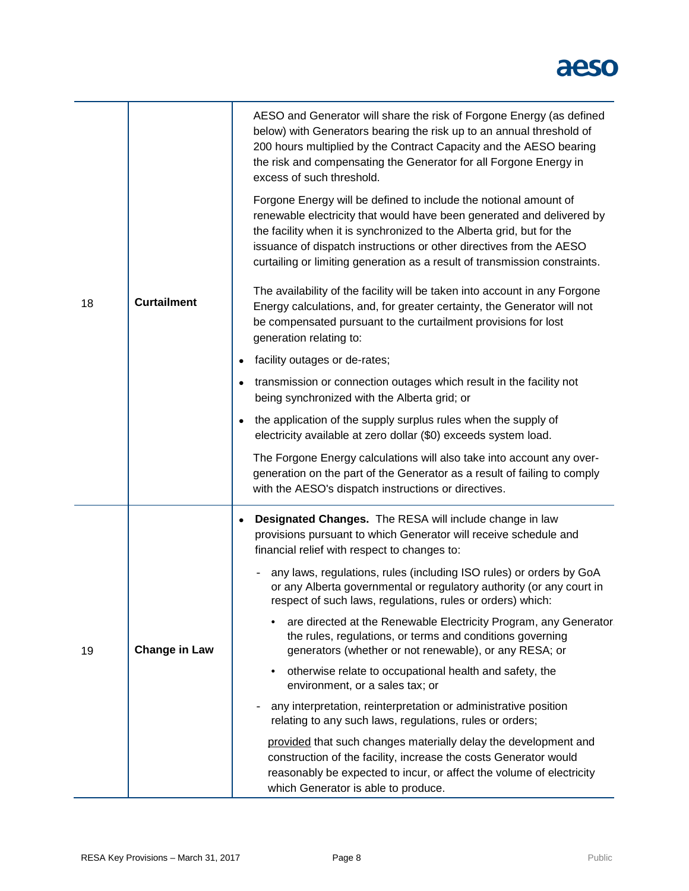| 18 | <b>Curtailment</b>   | AESO and Generator will share the risk of Forgone Energy (as defined<br>below) with Generators bearing the risk up to an annual threshold of<br>200 hours multiplied by the Contract Capacity and the AESO bearing<br>the risk and compensating the Generator for all Forgone Energy in<br>excess of such threshold.<br>Forgone Energy will be defined to include the notional amount of<br>renewable electricity that would have been generated and delivered by<br>the facility when it is synchronized to the Alberta grid, but for the<br>issuance of dispatch instructions or other directives from the AESO<br>curtailing or limiting generation as a result of transmission constraints.<br>The availability of the facility will be taken into account in any Forgone<br>Energy calculations, and, for greater certainty, the Generator will not<br>be compensated pursuant to the curtailment provisions for lost<br>generation relating to:<br>facility outages or de-rates;<br>$\bullet$<br>transmission or connection outages which result in the facility not<br>$\bullet$<br>being synchronized with the Alberta grid; or<br>the application of the supply surplus rules when the supply of<br>$\bullet$<br>electricity available at zero dollar (\$0) exceeds system load.<br>The Forgone Energy calculations will also take into account any over-<br>generation on the part of the Generator as a result of failing to comply<br>with the AESO's dispatch instructions or directives. |
|----|----------------------|--------------------------------------------------------------------------------------------------------------------------------------------------------------------------------------------------------------------------------------------------------------------------------------------------------------------------------------------------------------------------------------------------------------------------------------------------------------------------------------------------------------------------------------------------------------------------------------------------------------------------------------------------------------------------------------------------------------------------------------------------------------------------------------------------------------------------------------------------------------------------------------------------------------------------------------------------------------------------------------------------------------------------------------------------------------------------------------------------------------------------------------------------------------------------------------------------------------------------------------------------------------------------------------------------------------------------------------------------------------------------------------------------------------------------------------------------------------------------------------------------------|
| 19 | <b>Change in Law</b> | Designated Changes. The RESA will include change in law<br>$\bullet$<br>provisions pursuant to which Generator will receive schedule and<br>financial relief with respect to changes to:<br>any laws, regulations, rules (including ISO rules) or orders by GoA<br>or any Alberta governmental or regulatory authority (or any court in<br>respect of such laws, regulations, rules or orders) which:<br>are directed at the Renewable Electricity Program, any Generator.<br>the rules, regulations, or terms and conditions governing<br>generators (whether or not renewable), or any RESA; or<br>otherwise relate to occupational health and safety, the<br>environment, or a sales tax; or<br>any interpretation, reinterpretation or administrative position<br>relating to any such laws, regulations, rules or orders;<br>provided that such changes materially delay the development and<br>construction of the facility, increase the costs Generator would<br>reasonably be expected to incur, or affect the volume of electricity<br>which Generator is able to produce.                                                                                                                                                                                                                                                                                                                                                                                                                   |

J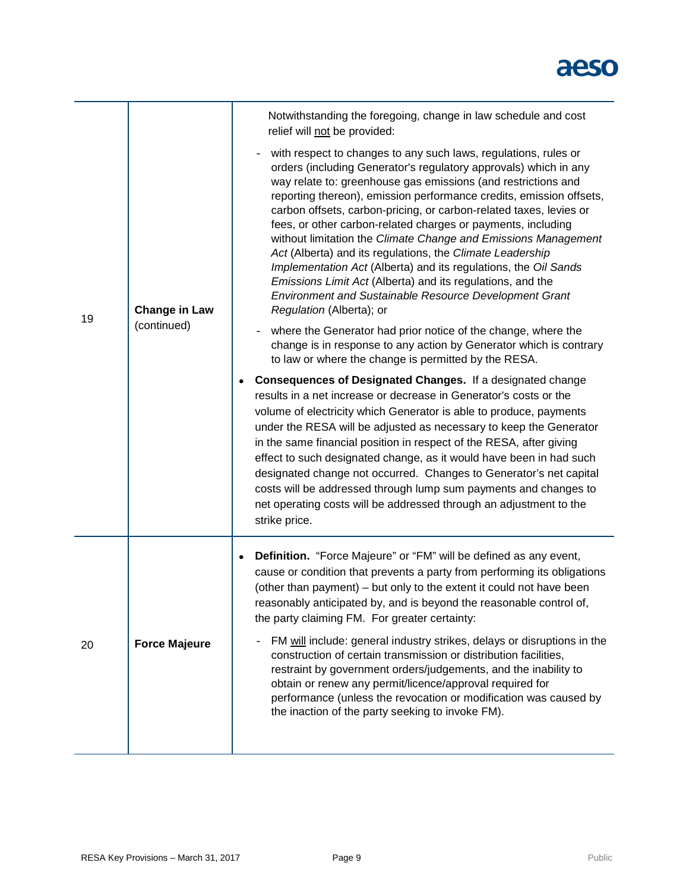|    | <b>Change in Law</b><br>(continued) | Notwithstanding the foregoing, change in law schedule and cost<br>relief will not be provided:                                                                                                                                                                                                                                                                                                                                                                                                                                                                                                                                                                                                                                                                          |
|----|-------------------------------------|-------------------------------------------------------------------------------------------------------------------------------------------------------------------------------------------------------------------------------------------------------------------------------------------------------------------------------------------------------------------------------------------------------------------------------------------------------------------------------------------------------------------------------------------------------------------------------------------------------------------------------------------------------------------------------------------------------------------------------------------------------------------------|
|    |                                     | with respect to changes to any such laws, regulations, rules or<br>orders (including Generator's regulatory approvals) which in any<br>way relate to: greenhouse gas emissions (and restrictions and<br>reporting thereon), emission performance credits, emission offsets,<br>carbon offsets, carbon-pricing, or carbon-related taxes, levies or<br>fees, or other carbon-related charges or payments, including<br>without limitation the Climate Change and Emissions Management<br>Act (Alberta) and its regulations, the Climate Leadership<br>Implementation Act (Alberta) and its regulations, the Oil Sands<br>Emissions Limit Act (Alberta) and its regulations, and the<br>Environment and Sustainable Resource Development Grant<br>Regulation (Alberta); or |
| 19 |                                     | where the Generator had prior notice of the change, where the<br>change is in response to any action by Generator which is contrary<br>to law or where the change is permitted by the RESA.                                                                                                                                                                                                                                                                                                                                                                                                                                                                                                                                                                             |
|    |                                     | <b>Consequences of Designated Changes.</b> If a designated change<br>results in a net increase or decrease in Generator's costs or the<br>volume of electricity which Generator is able to produce, payments<br>under the RESA will be adjusted as necessary to keep the Generator<br>in the same financial position in respect of the RESA, after giving<br>effect to such designated change, as it would have been in had such<br>designated change not occurred. Changes to Generator's net capital<br>costs will be addressed through lump sum payments and changes to<br>net operating costs will be addressed through an adjustment to the<br>strike price.                                                                                                       |
| 20 | <b>Force Majeure</b>                | Definition. "Force Majeure" or "FM" will be defined as any event,<br>cause or condition that prevents a party from performing its obligations<br>(other than payment) – but only to the extent it could not have been<br>reasonably anticipated by, and is beyond the reasonable control of,<br>the party claiming FM. For greater certainty:                                                                                                                                                                                                                                                                                                                                                                                                                           |
|    |                                     | FM will include: general industry strikes, delays or disruptions in the<br>construction of certain transmission or distribution facilities,<br>restraint by government orders/judgements, and the inability to<br>obtain or renew any permit/licence/approval required for<br>performance (unless the revocation or modification was caused by<br>the inaction of the party seeking to invoke FM).                                                                                                                                                                                                                                                                                                                                                                      |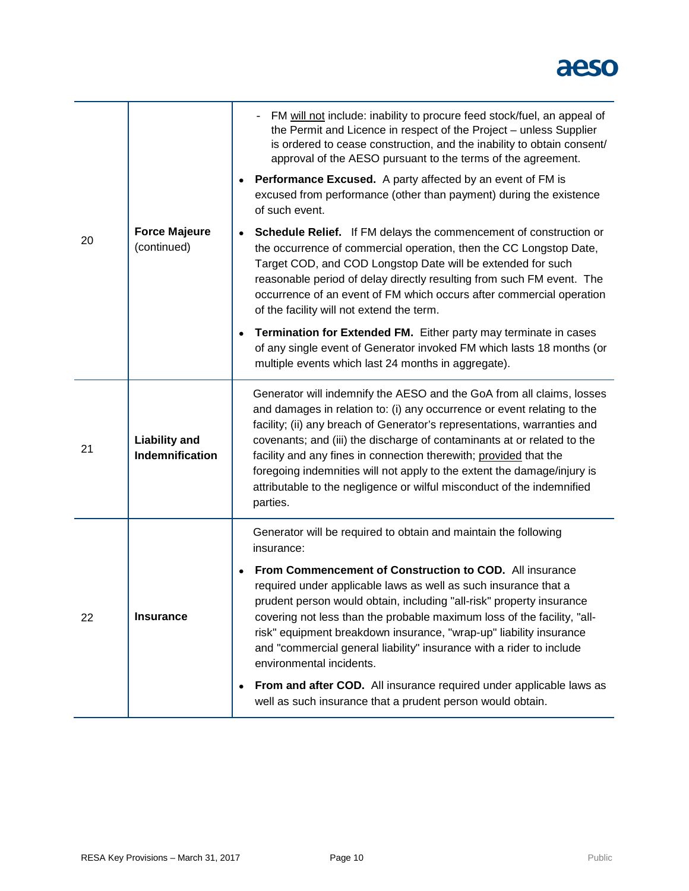| 20 | <b>Force Majeure</b><br>(continued)     | FM will not include: inability to procure feed stock/fuel, an appeal of<br>the Permit and Licence in respect of the Project - unless Supplier<br>is ordered to cease construction, and the inability to obtain consent/<br>approval of the AESO pursuant to the terms of the agreement.<br><b>Performance Excused.</b> A party affected by an event of FM is<br>excused from performance (other than payment) during the existence<br>of such event.                                                                                          |
|----|-----------------------------------------|-----------------------------------------------------------------------------------------------------------------------------------------------------------------------------------------------------------------------------------------------------------------------------------------------------------------------------------------------------------------------------------------------------------------------------------------------------------------------------------------------------------------------------------------------|
|    |                                         | Schedule Relief. If FM delays the commencement of construction or<br>the occurrence of commercial operation, then the CC Longstop Date,<br>Target COD, and COD Longstop Date will be extended for such<br>reasonable period of delay directly resulting from such FM event. The<br>occurrence of an event of FM which occurs after commercial operation<br>of the facility will not extend the term.                                                                                                                                          |
|    |                                         | Termination for Extended FM. Either party may terminate in cases<br>of any single event of Generator invoked FM which lasts 18 months (or<br>multiple events which last 24 months in aggregate).                                                                                                                                                                                                                                                                                                                                              |
| 21 | <b>Liability and</b><br>Indemnification | Generator will indemnify the AESO and the GoA from all claims, losses<br>and damages in relation to: (i) any occurrence or event relating to the<br>facility; (ii) any breach of Generator's representations, warranties and<br>covenants; and (iii) the discharge of contaminants at or related to the<br>facility and any fines in connection therewith; provided that the<br>foregoing indemnities will not apply to the extent the damage/injury is<br>attributable to the negligence or wilful misconduct of the indemnified<br>parties. |
|    |                                         | Generator will be required to obtain and maintain the following<br>insurance:                                                                                                                                                                                                                                                                                                                                                                                                                                                                 |
| 22 | <b>Insurance</b>                        | From Commencement of Construction to COD. All insurance<br>required under applicable laws as well as such insurance that a<br>prudent person would obtain, including "all-risk" property insurance<br>covering not less than the probable maximum loss of the facility, "all-<br>risk" equipment breakdown insurance, "wrap-up" liability insurance<br>and "commercial general liability" insurance with a rider to include<br>environmental incidents.                                                                                       |
|    |                                         | From and after COD. All insurance required under applicable laws as<br>well as such insurance that a prudent person would obtain.                                                                                                                                                                                                                                                                                                                                                                                                             |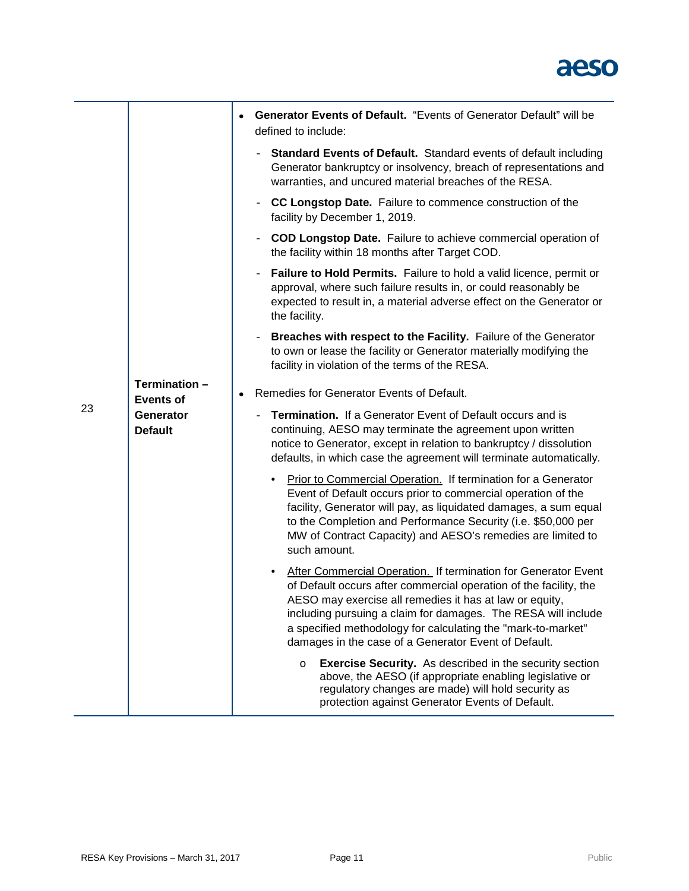|    |                                                                 | <b>Generator Events of Default.</b> "Events of Generator Default" will be<br>$\bullet$<br>defined to include:                                                                                                                                                                                                                                                                           |  |  |  |  |
|----|-----------------------------------------------------------------|-----------------------------------------------------------------------------------------------------------------------------------------------------------------------------------------------------------------------------------------------------------------------------------------------------------------------------------------------------------------------------------------|--|--|--|--|
|    |                                                                 | <b>Standard Events of Default.</b> Standard events of default including<br>Generator bankruptcy or insolvency, breach of representations and<br>warranties, and uncured material breaches of the RESA.                                                                                                                                                                                  |  |  |  |  |
|    |                                                                 | <b>CC Longstop Date.</b> Failure to commence construction of the<br>$\overline{\phantom{a}}$<br>facility by December 1, 2019.                                                                                                                                                                                                                                                           |  |  |  |  |
|    |                                                                 | <b>COD Longstop Date.</b> Failure to achieve commercial operation of<br>$\qquad \qquad -$<br>the facility within 18 months after Target COD.                                                                                                                                                                                                                                            |  |  |  |  |
|    |                                                                 | <b>Failure to Hold Permits.</b> Failure to hold a valid licence, permit or<br>$\qquad \qquad -$<br>approval, where such failure results in, or could reasonably be<br>expected to result in, a material adverse effect on the Generator or<br>the facility.                                                                                                                             |  |  |  |  |
|    |                                                                 | Breaches with respect to the Facility. Failure of the Generator<br>$\overline{\phantom{m}}$<br>to own or lease the facility or Generator materially modifying the<br>facility in violation of the terms of the RESA.                                                                                                                                                                    |  |  |  |  |
|    | Termination-<br><b>Events of</b><br>Generator<br><b>Default</b> | Remedies for Generator Events of Default.<br>$\bullet$                                                                                                                                                                                                                                                                                                                                  |  |  |  |  |
| 23 |                                                                 | <b>Termination.</b> If a Generator Event of Default occurs and is<br>continuing, AESO may terminate the agreement upon written<br>notice to Generator, except in relation to bankruptcy / dissolution<br>defaults, in which case the agreement will terminate automatically.                                                                                                            |  |  |  |  |
|    |                                                                 | Prior to Commercial Operation. If termination for a Generator<br>٠<br>Event of Default occurs prior to commercial operation of the<br>facility, Generator will pay, as liquidated damages, a sum equal<br>to the Completion and Performance Security (i.e. \$50,000 per<br>MW of Contract Capacity) and AESO's remedies are limited to<br>such amount.                                  |  |  |  |  |
|    |                                                                 | After Commercial Operation. If termination for Generator Event<br>of Default occurs after commercial operation of the facility, the<br>AESO may exercise all remedies it has at law or equity,<br>including pursuing a claim for damages. The RESA will include<br>a specified methodology for calculating the "mark-to-market"<br>damages in the case of a Generator Event of Default. |  |  |  |  |
|    |                                                                 | <b>Exercise Security.</b> As described in the security section<br>$\circ$<br>above, the AESO (if appropriate enabling legislative or<br>regulatory changes are made) will hold security as<br>protection against Generator Events of Default.                                                                                                                                           |  |  |  |  |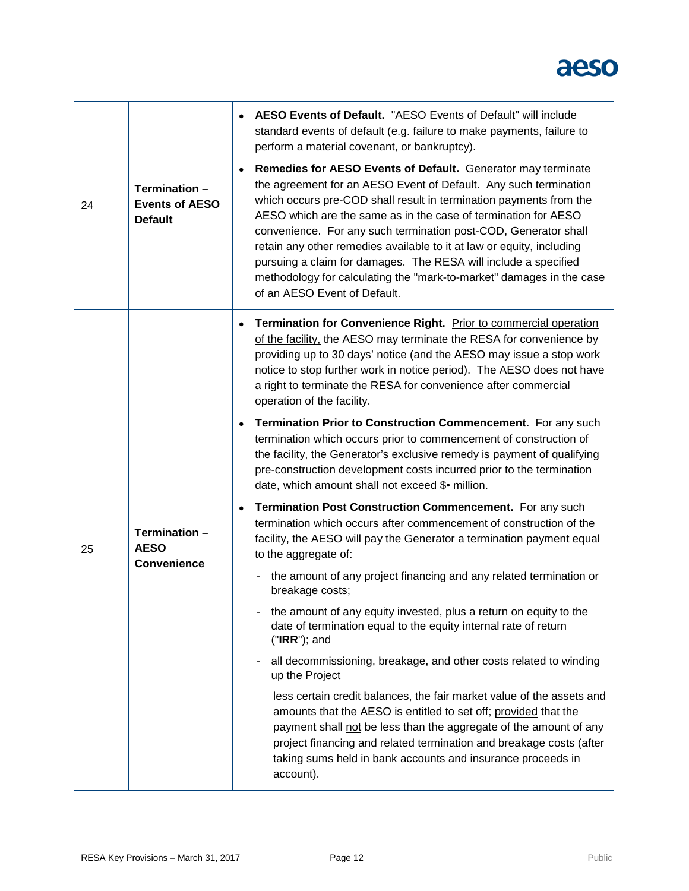| 24 | Termination -<br><b>Events of AESO</b><br><b>Default</b> | AESO Events of Default. "AESO Events of Default" will include<br>standard events of default (e.g. failure to make payments, failure to<br>perform a material covenant, or bankruptcy).<br>Remedies for AESO Events of Default. Generator may terminate<br>the agreement for an AESO Event of Default. Any such termination<br>which occurs pre-COD shall result in termination payments from the<br>AESO which are the same as in the case of termination for AESO<br>convenience. For any such termination post-COD, Generator shall<br>retain any other remedies available to it at law or equity, including<br>pursuing a claim for damages. The RESA will include a specified<br>methodology for calculating the "mark-to-market" damages in the case<br>of an AESO Event of Default. |
|----|----------------------------------------------------------|-------------------------------------------------------------------------------------------------------------------------------------------------------------------------------------------------------------------------------------------------------------------------------------------------------------------------------------------------------------------------------------------------------------------------------------------------------------------------------------------------------------------------------------------------------------------------------------------------------------------------------------------------------------------------------------------------------------------------------------------------------------------------------------------|
| 25 | Termination -<br><b>AESO</b><br><b>Convenience</b>       | Termination for Convenience Right. Prior to commercial operation<br>of the facility, the AESO may terminate the RESA for convenience by<br>providing up to 30 days' notice (and the AESO may issue a stop work<br>notice to stop further work in notice period). The AESO does not have<br>a right to terminate the RESA for convenience after commercial<br>operation of the facility.                                                                                                                                                                                                                                                                                                                                                                                                   |
|    |                                                          | Termination Prior to Construction Commencement. For any such<br>termination which occurs prior to commencement of construction of<br>the facility, the Generator's exclusive remedy is payment of qualifying<br>pre-construction development costs incurred prior to the termination<br>date, which amount shall not exceed \$• million.                                                                                                                                                                                                                                                                                                                                                                                                                                                  |
|    |                                                          | Termination Post Construction Commencement. For any such<br>termination which occurs after commencement of construction of the<br>facility, the AESO will pay the Generator a termination payment equal<br>to the aggregate of:                                                                                                                                                                                                                                                                                                                                                                                                                                                                                                                                                           |
|    |                                                          | - the amount of any project financing and any related termination or<br>breakage costs;                                                                                                                                                                                                                                                                                                                                                                                                                                                                                                                                                                                                                                                                                                   |
|    |                                                          | the amount of any equity invested, plus a return on equity to the<br>date of termination equal to the equity internal rate of return<br>$("IRR");$ and                                                                                                                                                                                                                                                                                                                                                                                                                                                                                                                                                                                                                                    |
|    |                                                          | all decommissioning, breakage, and other costs related to winding<br>$\qquad \qquad -$<br>up the Project                                                                                                                                                                                                                                                                                                                                                                                                                                                                                                                                                                                                                                                                                  |
|    |                                                          | less certain credit balances, the fair market value of the assets and<br>amounts that the AESO is entitled to set off; provided that the<br>payment shall not be less than the aggregate of the amount of any<br>project financing and related termination and breakage costs (after<br>taking sums held in bank accounts and insurance proceeds in<br>account).                                                                                                                                                                                                                                                                                                                                                                                                                          |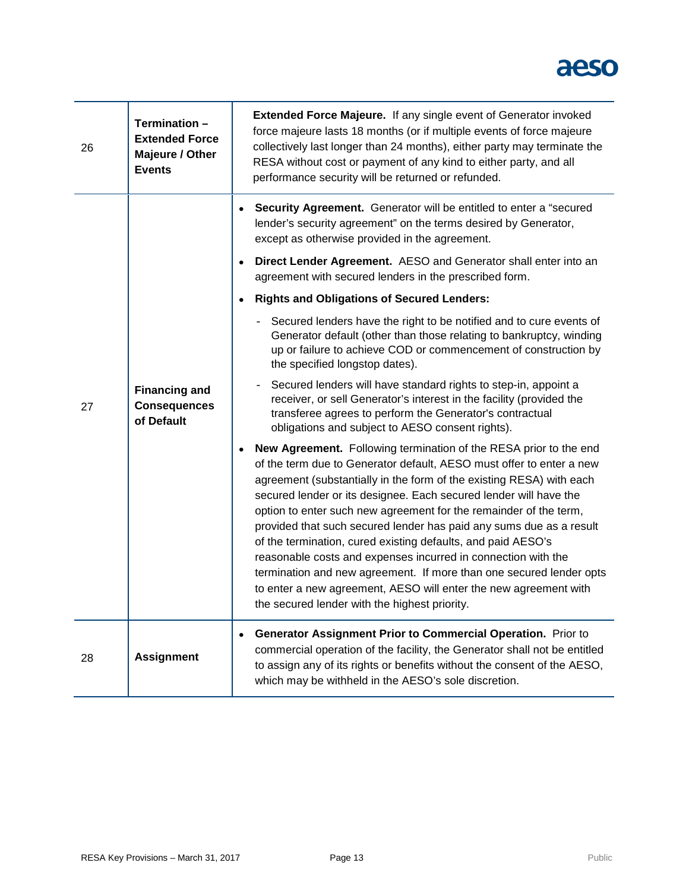| 26 | Termination -<br><b>Extended Force</b><br>Majeure / Other<br><b>Events</b> |           | Extended Force Majeure. If any single event of Generator invoked<br>force majeure lasts 18 months (or if multiple events of force majeure<br>collectively last longer than 24 months), either party may terminate the<br>RESA without cost or payment of any kind to either party, and all<br>performance security will be returned or refunded.                                                                                                                                                                                                                                                                                                                                                                                                                |
|----|----------------------------------------------------------------------------|-----------|-----------------------------------------------------------------------------------------------------------------------------------------------------------------------------------------------------------------------------------------------------------------------------------------------------------------------------------------------------------------------------------------------------------------------------------------------------------------------------------------------------------------------------------------------------------------------------------------------------------------------------------------------------------------------------------------------------------------------------------------------------------------|
| 27 | <b>Financing and</b><br><b>Consequences</b><br>of Default                  |           | Security Agreement. Generator will be entitled to enter a "secured<br>lender's security agreement" on the terms desired by Generator,<br>except as otherwise provided in the agreement.                                                                                                                                                                                                                                                                                                                                                                                                                                                                                                                                                                         |
|    |                                                                            | ٠         | Direct Lender Agreement. AESO and Generator shall enter into an<br>agreement with secured lenders in the prescribed form.                                                                                                                                                                                                                                                                                                                                                                                                                                                                                                                                                                                                                                       |
|    |                                                                            |           | <b>Rights and Obligations of Secured Lenders:</b>                                                                                                                                                                                                                                                                                                                                                                                                                                                                                                                                                                                                                                                                                                               |
|    |                                                                            |           | - Secured lenders have the right to be notified and to cure events of<br>Generator default (other than those relating to bankruptcy, winding<br>up or failure to achieve COD or commencement of construction by<br>the specified longstop dates).                                                                                                                                                                                                                                                                                                                                                                                                                                                                                                               |
|    |                                                                            |           | Secured lenders will have standard rights to step-in, appoint a<br>$\overline{\phantom{a}}$<br>receiver, or sell Generator's interest in the facility (provided the<br>transferee agrees to perform the Generator's contractual<br>obligations and subject to AESO consent rights).                                                                                                                                                                                                                                                                                                                                                                                                                                                                             |
|    |                                                                            |           | New Agreement. Following termination of the RESA prior to the end<br>of the term due to Generator default, AESO must offer to enter a new<br>agreement (substantially in the form of the existing RESA) with each<br>secured lender or its designee. Each secured lender will have the<br>option to enter such new agreement for the remainder of the term,<br>provided that such secured lender has paid any sums due as a result<br>of the termination, cured existing defaults, and paid AESO's<br>reasonable costs and expenses incurred in connection with the<br>termination and new agreement. If more than one secured lender opts<br>to enter a new agreement, AESO will enter the new agreement with<br>the secured lender with the highest priority. |
| 28 | <b>Assignment</b>                                                          | $\bullet$ | Generator Assignment Prior to Commercial Operation. Prior to<br>commercial operation of the facility, the Generator shall not be entitled<br>to assign any of its rights or benefits without the consent of the AESO,<br>which may be withheld in the AESO's sole discretion.                                                                                                                                                                                                                                                                                                                                                                                                                                                                                   |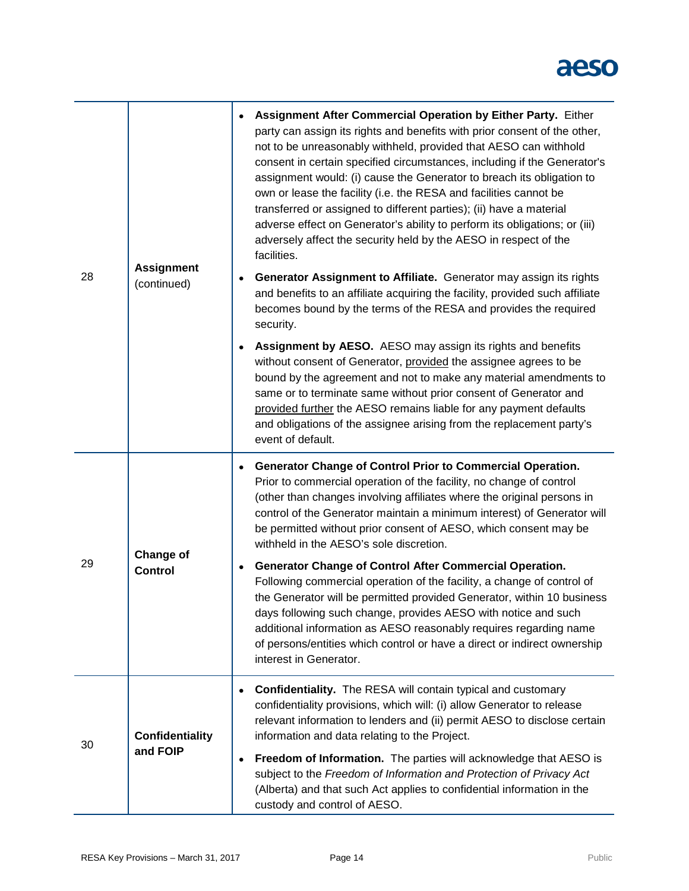| 28 | <b>Assignment</b><br>(continued)   | Assignment After Commercial Operation by Either Party. Either<br>party can assign its rights and benefits with prior consent of the other,<br>not to be unreasonably withheld, provided that AESO can withhold<br>consent in certain specified circumstances, including if the Generator's<br>assignment would: (i) cause the Generator to breach its obligation to<br>own or lease the facility (i.e. the RESA and facilities cannot be<br>transferred or assigned to different parties); (ii) have a material<br>adverse effect on Generator's ability to perform its obligations; or (iii)<br>adversely affect the security held by the AESO in respect of the<br>facilities. |
|----|------------------------------------|----------------------------------------------------------------------------------------------------------------------------------------------------------------------------------------------------------------------------------------------------------------------------------------------------------------------------------------------------------------------------------------------------------------------------------------------------------------------------------------------------------------------------------------------------------------------------------------------------------------------------------------------------------------------------------|
|    |                                    | Generator Assignment to Affiliate. Generator may assign its rights<br>and benefits to an affiliate acquiring the facility, provided such affiliate<br>becomes bound by the terms of the RESA and provides the required<br>security.                                                                                                                                                                                                                                                                                                                                                                                                                                              |
|    |                                    | Assignment by AESO. AESO may assign its rights and benefits<br>without consent of Generator, provided the assignee agrees to be<br>bound by the agreement and not to make any material amendments to<br>same or to terminate same without prior consent of Generator and<br>provided further the AESO remains liable for any payment defaults<br>and obligations of the assignee arising from the replacement party's<br>event of default.                                                                                                                                                                                                                                       |
| 29 | <b>Change of</b><br><b>Control</b> | Generator Change of Control Prior to Commercial Operation.<br>Prior to commercial operation of the facility, no change of control<br>(other than changes involving affiliates where the original persons in<br>control of the Generator maintain a minimum interest) of Generator will<br>be permitted without prior consent of AESO, which consent may be<br>withheld in the AESO's sole discretion.                                                                                                                                                                                                                                                                            |
|    |                                    | <b>Generator Change of Control After Commercial Operation.</b><br>٠<br>Following commercial operation of the facility, a change of control of<br>the Generator will be permitted provided Generator, within 10 business<br>days following such change, provides AESO with notice and such<br>additional information as AESO reasonably requires regarding name<br>of persons/entities which control or have a direct or indirect ownership<br>interest in Generator.                                                                                                                                                                                                             |
| 30 | <b>Confidentiality</b><br>and FOIP | <b>Confidentiality.</b> The RESA will contain typical and customary<br>confidentiality provisions, which will: (i) allow Generator to release<br>relevant information to lenders and (ii) permit AESO to disclose certain<br>information and data relating to the Project.                                                                                                                                                                                                                                                                                                                                                                                                       |
|    |                                    | Freedom of Information. The parties will acknowledge that AESO is<br>subject to the Freedom of Information and Protection of Privacy Act<br>(Alberta) and that such Act applies to confidential information in the<br>custody and control of AESO.                                                                                                                                                                                                                                                                                                                                                                                                                               |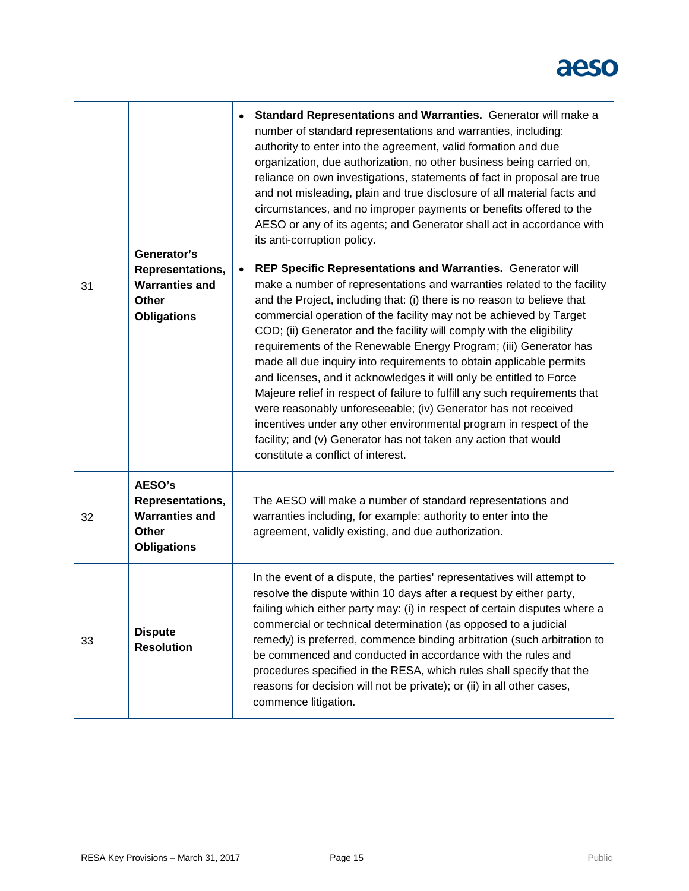|    | Generator's                                                                        | Standard Representations and Warranties. Generator will make a<br>number of standard representations and warranties, including:<br>authority to enter into the agreement, valid formation and due<br>organization, due authorization, no other business being carried on,<br>reliance on own investigations, statements of fact in proposal are true<br>and not misleading, plain and true disclosure of all material facts and<br>circumstances, and no improper payments or benefits offered to the<br>AESO or any of its agents; and Generator shall act in accordance with<br>its anti-corruption policy.                                                                                                                                                                                                                                                                                                      |
|----|------------------------------------------------------------------------------------|--------------------------------------------------------------------------------------------------------------------------------------------------------------------------------------------------------------------------------------------------------------------------------------------------------------------------------------------------------------------------------------------------------------------------------------------------------------------------------------------------------------------------------------------------------------------------------------------------------------------------------------------------------------------------------------------------------------------------------------------------------------------------------------------------------------------------------------------------------------------------------------------------------------------|
| 31 | Representations,<br><b>Warranties and</b><br><b>Other</b><br><b>Obligations</b>    | REP Specific Representations and Warranties. Generator will<br>make a number of representations and warranties related to the facility<br>and the Project, including that: (i) there is no reason to believe that<br>commercial operation of the facility may not be achieved by Target<br>COD; (ii) Generator and the facility will comply with the eligibility<br>requirements of the Renewable Energy Program; (iii) Generator has<br>made all due inquiry into requirements to obtain applicable permits<br>and licenses, and it acknowledges it will only be entitled to Force<br>Majeure relief in respect of failure to fulfill any such requirements that<br>were reasonably unforeseeable; (iv) Generator has not received<br>incentives under any other environmental program in respect of the<br>facility; and (v) Generator has not taken any action that would<br>constitute a conflict of interest. |
| 32 | AESO's<br>Representations,<br><b>Warranties and</b><br>Other<br><b>Obligations</b> | The AESO will make a number of standard representations and<br>warranties including, for example: authority to enter into the<br>agreement, validly existing, and due authorization.                                                                                                                                                                                                                                                                                                                                                                                                                                                                                                                                                                                                                                                                                                                               |
| 33 | <b>Dispute</b><br><b>Resolution</b>                                                | In the event of a dispute, the parties' representatives will attempt to<br>resolve the dispute within 10 days after a request by either party,<br>failing which either party may: (i) in respect of certain disputes where a<br>commercial or technical determination (as opposed to a judicial<br>remedy) is preferred, commence binding arbitration (such arbitration to<br>be commenced and conducted in accordance with the rules and<br>procedures specified in the RESA, which rules shall specify that the<br>reasons for decision will not be private); or (ii) in all other cases,<br>commence litigation.                                                                                                                                                                                                                                                                                                |